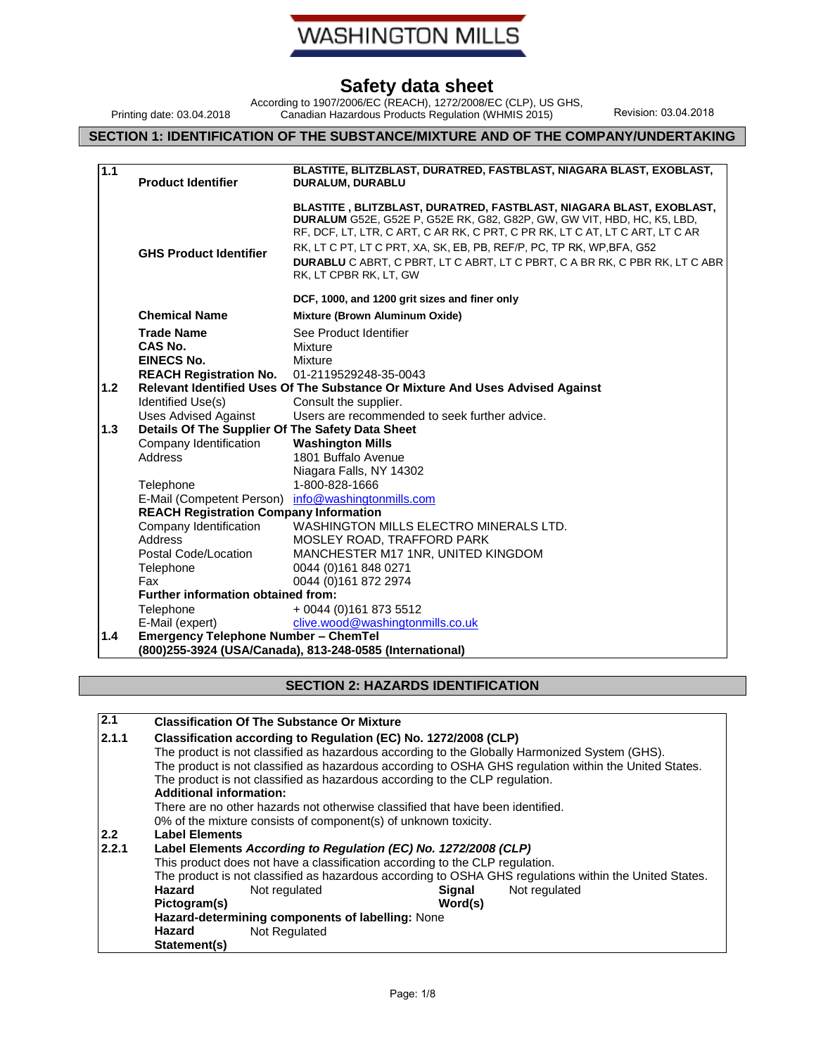

According to 1907/2006/EC (REACH), 1272/2008/EC (CLP), US GHS, Canadian Hazardous Products Regulation (WHMIS 2015) Revision: 03.04.2018

### **SECTION 1: IDENTIFICATION OF THE SUBSTANCE/MIXTURE AND OF THE COMPANY/UNDERTAKING**

Printing date: 03.04.2018

| 1.1 | <b>Product Identifier</b>                        | BLASTITE, BLITZBLAST, DURATRED, FASTBLAST, NIAGARA BLAST, EXOBLAST,<br>DURALUM, DURABLU                                                                                                                                                                                                                                                                                                                          |
|-----|--------------------------------------------------|------------------------------------------------------------------------------------------------------------------------------------------------------------------------------------------------------------------------------------------------------------------------------------------------------------------------------------------------------------------------------------------------------------------|
|     | <b>GHS Product Identifier</b>                    | BLASTITE, BLITZBLAST, DURATRED, FASTBLAST, NIAGARA BLAST, EXOBLAST,<br>DURALUM G52E, G52E P, G52E RK, G82, G82P, GW, GW VIT, HBD, HC, K5, LBD,<br>RF, DCF, LT, LTR, C ART, C AR RK, C PRT, C PR RK, LT C AT, LT C ART, LT C AR<br>RK, LT C PT, LT C PRT, XA, SK, EB, PB, REF/P, PC, TP RK, WP, BFA, G52<br>DURABLU C ABRT, C PBRT, LT C ABRT, LT C PBRT, C A BR RK, C PBR RK, LT C ABR<br>RK, LT CPBR RK, LT, GW |
|     |                                                  | DCF, 1000, and 1200 grit sizes and finer only                                                                                                                                                                                                                                                                                                                                                                    |
|     | <b>Chemical Name</b>                             | Mixture (Brown Aluminum Oxide)                                                                                                                                                                                                                                                                                                                                                                                   |
|     | <b>Trade Name</b>                                | See Product Identifier                                                                                                                                                                                                                                                                                                                                                                                           |
|     | CAS No.                                          | Mixture                                                                                                                                                                                                                                                                                                                                                                                                          |
|     | <b>EINECS No.</b>                                | Mixture                                                                                                                                                                                                                                                                                                                                                                                                          |
| 1.2 | <b>REACH Registration No.</b>                    | 01-2119529248-35-0043                                                                                                                                                                                                                                                                                                                                                                                            |
|     | Identified Use(s)                                | Relevant Identified Uses Of The Substance Or Mixture And Uses Advised Against<br>Consult the supplier.                                                                                                                                                                                                                                                                                                           |
|     | <b>Uses Advised Against</b>                      | Users are recommended to seek further advice.                                                                                                                                                                                                                                                                                                                                                                    |
| 1.3 | Details Of The Supplier Of The Safety Data Sheet |                                                                                                                                                                                                                                                                                                                                                                                                                  |
|     | Company Identification                           | <b>Washington Mills</b>                                                                                                                                                                                                                                                                                                                                                                                          |
|     | Address                                          | 1801 Buffalo Avenue                                                                                                                                                                                                                                                                                                                                                                                              |
|     |                                                  | Niagara Falls, NY 14302                                                                                                                                                                                                                                                                                                                                                                                          |
|     | Telephone                                        | 1-800-828-1666                                                                                                                                                                                                                                                                                                                                                                                                   |
|     | E-Mail (Competent Person)                        | info@washingtonmills.com                                                                                                                                                                                                                                                                                                                                                                                         |
|     | <b>REACH Registration Company Information</b>    |                                                                                                                                                                                                                                                                                                                                                                                                                  |
|     | Company Identification                           | WASHINGTON MILLS ELECTRO MINERALS LTD.                                                                                                                                                                                                                                                                                                                                                                           |
|     | Address                                          | MOSLEY ROAD, TRAFFORD PARK                                                                                                                                                                                                                                                                                                                                                                                       |
|     | Postal Code/Location<br>Telephone                | MANCHESTER M17 1NR, UNITED KINGDOM<br>0044 (0)161 848 0271                                                                                                                                                                                                                                                                                                                                                       |
|     | Fax                                              | 0044 (0)161 872 2974                                                                                                                                                                                                                                                                                                                                                                                             |
|     | <b>Further information obtained from:</b>        |                                                                                                                                                                                                                                                                                                                                                                                                                  |
|     | Telephone                                        | + 0044 (0)161 873 5512                                                                                                                                                                                                                                                                                                                                                                                           |
|     | E-Mail (expert)                                  | clive.wood@washingtonmills.co.uk                                                                                                                                                                                                                                                                                                                                                                                 |
| 1.4 | <b>Emergency Telephone Number - ChemTel</b>      |                                                                                                                                                                                                                                                                                                                                                                                                                  |
|     |                                                  | (800)255-3924 (USA/Canada), 813-248-0585 (International)                                                                                                                                                                                                                                                                                                                                                         |

#### **SECTION 2: HAZARDS IDENTIFICATION**

| 2.1   | <b>Classification Of The Substance Or Mixture</b>                                                      |
|-------|--------------------------------------------------------------------------------------------------------|
| 2.1.1 | Classification according to Regulation (EC) No. 1272/2008 (CLP)                                        |
|       | The product is not classified as hazardous according to the Globally Harmonized System (GHS).          |
|       | The product is not classified as hazardous according to OSHA GHS regulation within the United States.  |
|       | The product is not classified as hazardous according to the CLP regulation.                            |
|       | <b>Additional information:</b>                                                                         |
|       | There are no other hazards not otherwise classified that have been identified.                         |
|       | 0% of the mixture consists of component(s) of unknown toxicity.                                        |
| 2.2   | <b>Label Elements</b>                                                                                  |
| 2.2.1 | Label Elements According to Regulation (EC) No. 1272/2008 (CLP)                                        |
|       | This product does not have a classification according to the CLP regulation.                           |
|       | The product is not classified as hazardous according to OSHA GHS regulations within the United States. |
|       | Hazard<br>Not regulated<br>Not regulated<br><b>Signal</b>                                              |
|       | Word(s)<br>Pictogram(s)                                                                                |
|       | Hazard-determining components of labelling: None                                                       |
|       | Hazard<br>Not Regulated                                                                                |
|       | Statement(s)                                                                                           |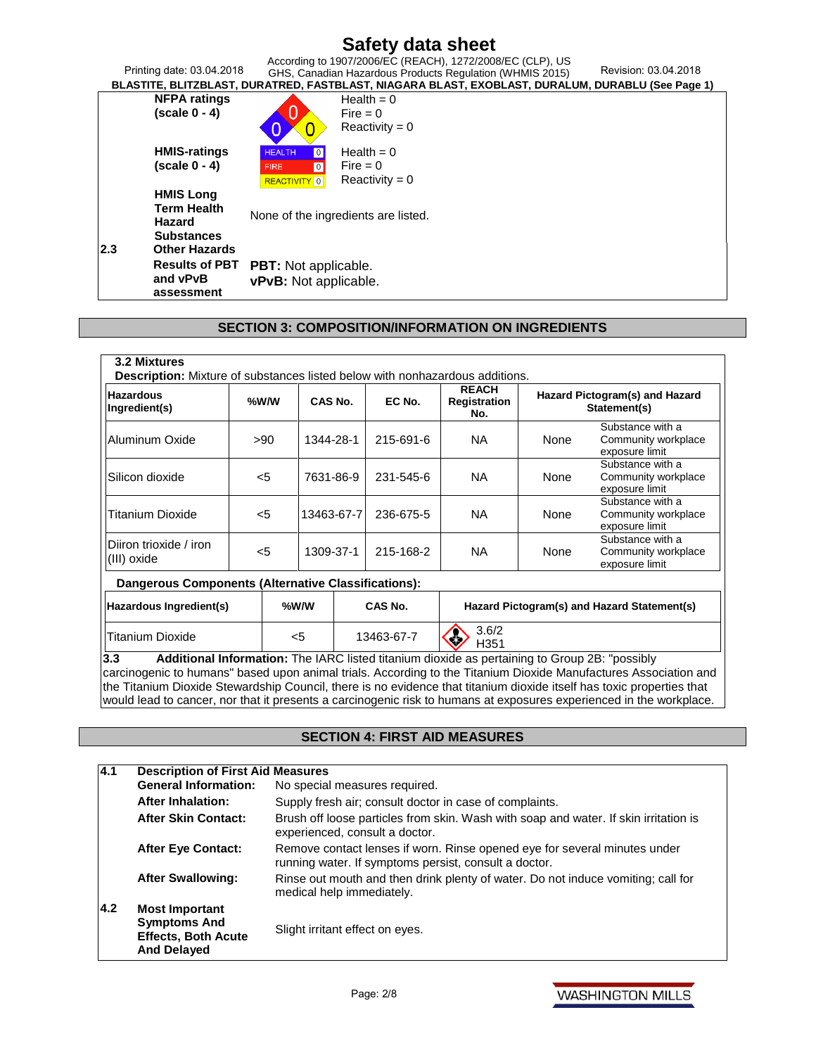| Printing date: 03.04.2018   |                                         | According to 1907/2006/EC (REACH), 1272/2008/EC (CLP), US<br>Revision: 03.04.2018<br>GHS, Canadian Hazardous Products Regulation (WHMIS 2015) |
|-----------------------------|-----------------------------------------|-----------------------------------------------------------------------------------------------------------------------------------------------|
|                             |                                         | BLASTITE, BLITZBLAST, DURATRED, FASTBLAST, NIAGARA BLAST, EXOBLAST, DURALUM, DURABLU (See Page 1)                                             |
| <b>NFPA ratings</b>         |                                         | Health = $0$                                                                                                                                  |
| $(scale 0 - 4)$             |                                         | $Fire = 0$                                                                                                                                    |
|                             |                                         | Reactivity = $0$                                                                                                                              |
| <b>HMIS-ratings</b>         | <b>HEALTH</b><br>$\boxed{0}$            | Health = $0$                                                                                                                                  |
| $(scale 0 - 4)$             | $\overline{\phantom{0}}$<br><b>FIRE</b> | Fire $= 0$                                                                                                                                    |
|                             | <b>REACTIVITY</b> 0                     | $Reactivity = 0$                                                                                                                              |
| <b>HMIS Long</b>            |                                         |                                                                                                                                               |
| <b>Term Health</b>          |                                         | None of the ingredients are listed.                                                                                                           |
| Hazard                      |                                         |                                                                                                                                               |
| <b>Substances</b>           |                                         |                                                                                                                                               |
| 2.3<br><b>Other Hazards</b> |                                         |                                                                                                                                               |
| <b>Results of PBT</b>       | <b>PBT:</b> Not applicable.             |                                                                                                                                               |
| and vPvB                    | vPvB: Not applicable.                   |                                                                                                                                               |
| assessment                  |                                         |                                                                                                                                               |

### **SECTION 3: COMPOSITION/INFORMATION ON INGREDIENTS**

| <b>Hazardous</b><br>Ingredient(s)                          | %W/W  |  | CAS No.    |  | EC No.        | <b>REACH</b><br>Registration<br>No. |      | Hazard Pictogram(s) and Hazard<br>Statement(s)            |
|------------------------------------------------------------|-------|--|------------|--|---------------|-------------------------------------|------|-----------------------------------------------------------|
| Aluminum Oxide                                             | >90   |  | 1344-28-1  |  | 215-691-6     | NA.                                 | None | Substance with a<br>Community workplace<br>exposure limit |
| Silicon dioxide                                            | $<$ 5 |  | 7631-86-9  |  | 231-545-6     | <b>NA</b>                           | None | Substance with a<br>Community workplace<br>exposure limit |
| Titanium Dioxide                                           | $<$ 5 |  | 13463-67-7 |  | 236-675-5     | NA.                                 | None | Substance with a<br>Community workplace<br>exposure limit |
| Diiron trioxide / iron<br>(III) oxide                      | $<$ 5 |  | 1309-37-1  |  | 215-168-2     | NA.                                 | None | Substance with a<br>Community workplace<br>exposure limit |
| <b>Dangerous Components (Alternative Classifications):</b> |       |  |            |  |               |                                     |      |                                                           |
| Hazardous Ingredient(s)                                    |       |  | %W/W       |  | CAS No.       |                                     |      | Hazard Pictogram(s) and Hazard Statement(s)               |
| Titanium Dioxide<br>$<$ 5                                  |       |  | 13463-67-7 |  | 3.6/2<br>H351 |                                     |      |                                                           |

carcinogenic to humans" based upon animal trials. According to the Titanium Dioxide Manufactures Association and the Titanium Dioxide Stewardship Council, there is no evidence that titanium dioxide itself has toxic properties that would lead to cancer, nor that it presents a carcinogenic risk to humans at exposures experienced in the workplace.

#### **SECTION 4: FIRST AID MEASURES**

| 4.1 | <b>Description of First Aid Measures</b>                                                         |                                                                                                                                    |
|-----|--------------------------------------------------------------------------------------------------|------------------------------------------------------------------------------------------------------------------------------------|
|     | <b>General Information:</b>                                                                      | No special measures required.                                                                                                      |
|     | <b>After Inhalation:</b>                                                                         | Supply fresh air; consult doctor in case of complaints.                                                                            |
|     | <b>After Skin Contact:</b>                                                                       | Brush off loose particles from skin. Wash with soap and water. If skin irritation is<br>experienced, consult a doctor.             |
|     | <b>After Eye Contact:</b>                                                                        | Remove contact lenses if worn. Rinse opened eye for several minutes under<br>running water. If symptoms persist, consult a doctor. |
|     | <b>After Swallowing:</b>                                                                         | Rinse out mouth and then drink plenty of water. Do not induce vomiting; call for<br>medical help immediately.                      |
| 4.2 | <b>Most Important</b><br><b>Symptoms And</b><br><b>Effects, Both Acute</b><br><b>And Delayed</b> | Slight irritant effect on eyes.                                                                                                    |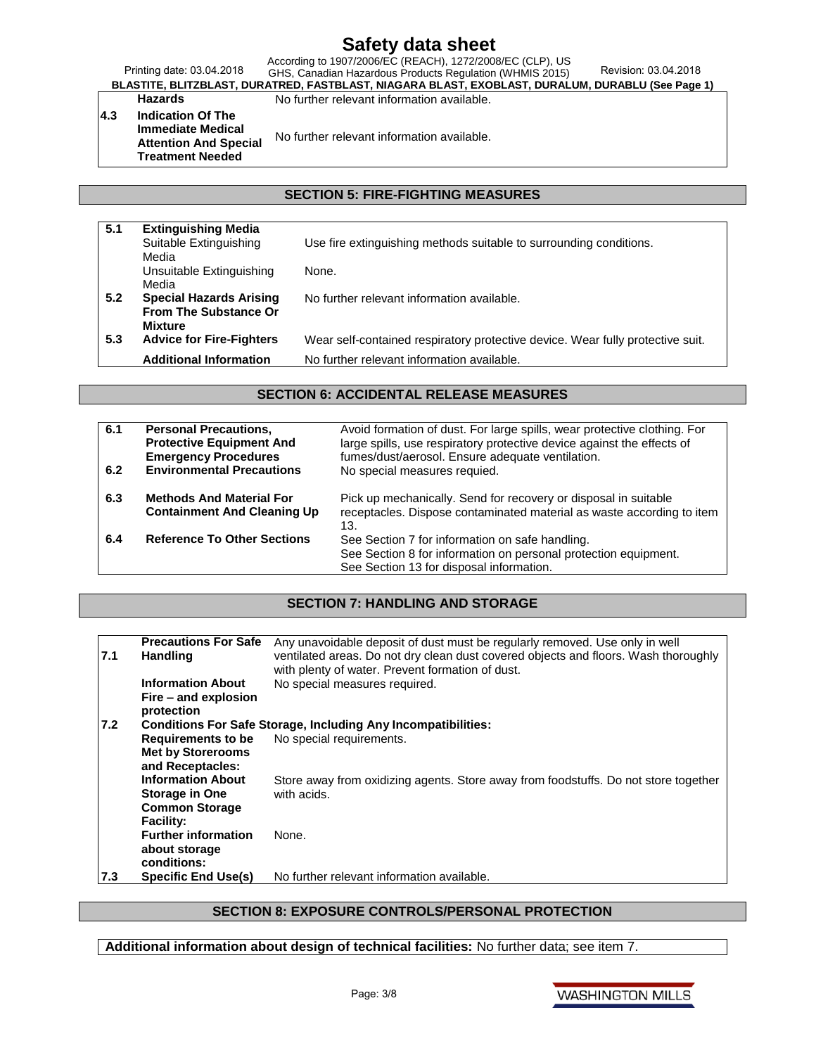Printing date: 03.04.2018 According to 1907/2006/EC (REACH), 1272/2008/EC (CLP), US GHS, Canadian Hazardous Products Regulation (WHMIS 2015) Revision: 03.04.2018

**BLASTITE, BLITZBLAST, DURATRED, FASTBLAST, NIAGARA BLAST, EXOBLAST, DURALUM, DURABLU (See Page 1)** Hazards **No further relevant information available.** 

**4.3 Indication Of The Immediate Medical Attention And Special Treatment Needed**

No further relevant information available.

### **SECTION 5: FIRE-FIGHTING MEASURES**

| 5.1 | <b>Extinguishing Media</b>      |                                                                                |
|-----|---------------------------------|--------------------------------------------------------------------------------|
|     | Suitable Extinguishing          | Use fire extinguishing methods suitable to surrounding conditions.             |
|     | Media                           |                                                                                |
|     | Unsuitable Extinguishing        | None.                                                                          |
|     | Media                           |                                                                                |
| 5.2 | <b>Special Hazards Arising</b>  | No further relevant information available.                                     |
|     | <b>From The Substance Or</b>    |                                                                                |
|     | <b>Mixture</b>                  |                                                                                |
| 5.3 | <b>Advice for Fire-Fighters</b> | Wear self-contained respiratory protective device. Wear fully protective suit. |
|     | <b>Additional Information</b>   | No further relevant information available.                                     |

#### **SECTION 6: ACCIDENTAL RELEASE MEASURES**

| 6.1<br>6.2 | <b>Personal Precautions,</b><br><b>Protective Equipment And</b><br><b>Emergency Procedures</b><br><b>Environmental Precautions</b> | Avoid formation of dust. For large spills, wear protective clothing. For<br>large spills, use respiratory protective device against the effects of<br>fumes/dust/aerosol. Ensure adequate ventilation.<br>No special measures requied. |
|------------|------------------------------------------------------------------------------------------------------------------------------------|----------------------------------------------------------------------------------------------------------------------------------------------------------------------------------------------------------------------------------------|
| 6.3        | <b>Methods And Material For</b><br><b>Containment And Cleaning Up</b>                                                              | Pick up mechanically. Send for recovery or disposal in suitable<br>receptacles. Dispose contaminated material as waste according to item<br>13.                                                                                        |
| 6.4        | <b>Reference To Other Sections</b>                                                                                                 | See Section 7 for information on safe handling.<br>See Section 8 for information on personal protection equipment.<br>See Section 13 for disposal information.                                                                         |

#### **SECTION 7: HANDLING AND STORAGE**

| 7.1 | <b>Precautions For Safe</b><br><b>Handling</b> | Any unavoidable deposit of dust must be regularly removed. Use only in well<br>ventilated areas. Do not dry clean dust covered objects and floors. Wash thoroughly<br>with plenty of water. Prevent formation of dust. |
|-----|------------------------------------------------|------------------------------------------------------------------------------------------------------------------------------------------------------------------------------------------------------------------------|
|     | <b>Information About</b>                       | No special measures required.                                                                                                                                                                                          |
|     | Fire – and explosion                           |                                                                                                                                                                                                                        |
|     | protection                                     |                                                                                                                                                                                                                        |
| 7.2 |                                                | <b>Conditions For Safe Storage, Including Any Incompatibilities:</b>                                                                                                                                                   |
|     | <b>Requirements to be</b>                      | No special requirements.                                                                                                                                                                                               |
|     | <b>Met by Storerooms</b><br>and Receptacles:   |                                                                                                                                                                                                                        |
|     | <b>Information About</b>                       | Store away from oxidizing agents. Store away from foodstuffs. Do not store together                                                                                                                                    |
|     | <b>Storage in One</b>                          | with acids.                                                                                                                                                                                                            |
|     | <b>Common Storage</b>                          |                                                                                                                                                                                                                        |
|     | <b>Facility:</b>                               |                                                                                                                                                                                                                        |
|     | <b>Further information</b>                     | None.                                                                                                                                                                                                                  |
|     | about storage                                  |                                                                                                                                                                                                                        |
|     | conditions:                                    |                                                                                                                                                                                                                        |
| 7.3 | <b>Specific End Use(s)</b>                     | No further relevant information available.                                                                                                                                                                             |

#### **SECTION 8: EXPOSURE CONTROLS/PERSONAL PROTECTION**

**Additional information about design of technical facilities:** No further data; see item 7.

**WASHINGTON MILLS**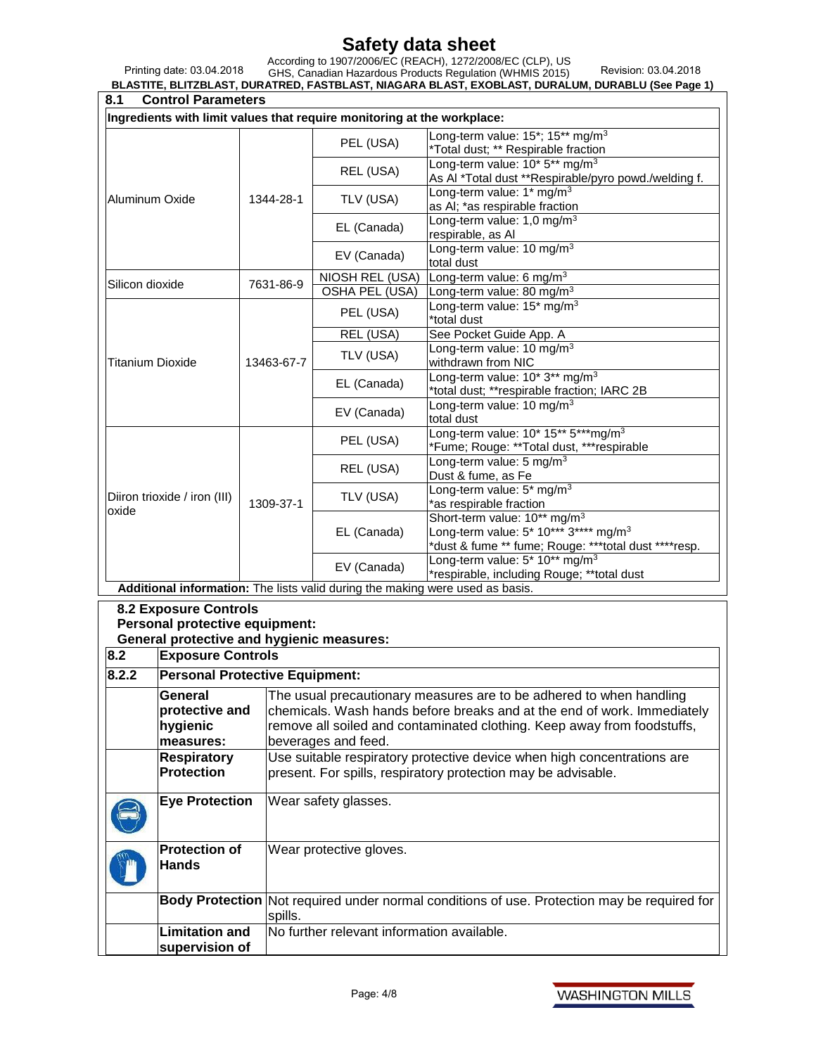Printing date: 03.04.2018

According to 1907/2006/EC (REACH), 1272/2008/EC (CLP), US GHS, Canadian Hazardous Products Regulation (WHMIS 2015) Revision: 03.04.2018

**BLASTITE, BLITZBLAST, DURATRED, FASTBLAST, NIAGARA BLAST, EXOBLAST, DURALUM, DURABLU (See Page 1)**

| 8.1<br><b>Control Parameters</b>                                        |                                                                |            |                                                                                                                             |                                                                                                           |  |
|-------------------------------------------------------------------------|----------------------------------------------------------------|------------|-----------------------------------------------------------------------------------------------------------------------------|-----------------------------------------------------------------------------------------------------------|--|
| Ingredients with limit values that require monitoring at the workplace: |                                                                |            |                                                                                                                             |                                                                                                           |  |
|                                                                         |                                                                |            | PEL (USA)                                                                                                                   | Long-term value: 15*; 15** mg/m <sup>3</sup><br>*Total dust; ** Respirable fraction                       |  |
|                                                                         |                                                                |            | REL (USA)                                                                                                                   | Long-term value: 10* 5** mg/m <sup>3</sup><br>As Al *Total dust **Respirable/pyro powd./welding f.        |  |
| Aluminum Oxide                                                          |                                                                | 1344-28-1  | TLV (USA)                                                                                                                   | Long-term value: 1* mg/m <sup>3</sup><br>as AI; *as respirable fraction                                   |  |
|                                                                         |                                                                |            | EL (Canada)                                                                                                                 | Long-term value: 1,0 mg/m <sup>3</sup>                                                                    |  |
|                                                                         |                                                                |            | EV (Canada)                                                                                                                 | respirable, as Al<br>Long-term value: 10 mg/m <sup>3</sup>                                                |  |
|                                                                         |                                                                |            |                                                                                                                             | total dust                                                                                                |  |
| Silicon dioxide                                                         |                                                                | 7631-86-9  | NIOSH REL (USA)<br><b>OSHA PEL (USA)</b>                                                                                    | Long-term value: 6 mg/m <sup>3</sup><br>Long-term value: 80 mg/m <sup>3</sup>                             |  |
|                                                                         |                                                                |            |                                                                                                                             | Long-term value: 15* mg/m <sup>3</sup>                                                                    |  |
|                                                                         |                                                                |            | PEL (USA)                                                                                                                   | *total dust                                                                                               |  |
|                                                                         |                                                                |            | REL (USA)                                                                                                                   | See Pocket Guide App. A                                                                                   |  |
| Titanium Dioxide                                                        |                                                                | 13463-67-7 | TLV (USA)                                                                                                                   | Long-term value: 10 mg/m <sup>3</sup><br>withdrawn from NIC                                               |  |
|                                                                         |                                                                |            | EL (Canada)                                                                                                                 | Long-term value: 10* 3** mg/m <sup>3</sup><br>*total dust; **respirable fraction; IARC 2B                 |  |
|                                                                         |                                                                |            | EV (Canada)                                                                                                                 | Long-term value: 10 mg/m <sup>3</sup><br>total dust                                                       |  |
|                                                                         |                                                                |            | PEL (USA)                                                                                                                   | Long-term value: 10* 15** 5***mg/m <sup>3</sup>                                                           |  |
|                                                                         |                                                                |            |                                                                                                                             | *Fume; Rouge: **Total dust, ***respirable<br>Long-term value: 5 mg/m <sup>3</sup>                         |  |
|                                                                         |                                                                |            | REL (USA)                                                                                                                   | Dust & fume, as Fe                                                                                        |  |
|                                                                         | Diiron trioxide / iron (III)                                   | 1309-37-1  | TLV (USA)                                                                                                                   | Long-term value: 5* mg/m <sup>3</sup><br>*as respirable fraction                                          |  |
| oxide                                                                   |                                                                |            |                                                                                                                             | Short-term value: 10** mg/m <sup>3</sup>                                                                  |  |
|                                                                         |                                                                |            | EL (Canada)                                                                                                                 | Long-term value: 5* 10*** 3**** mg/m <sup>3</sup><br>*dust & fume ** fume; Rouge: ***total dust ****resp. |  |
|                                                                         |                                                                |            | EV (Canada)                                                                                                                 | Long-term value: 5* 10** mg/m <sup>3</sup>                                                                |  |
|                                                                         |                                                                |            | *respirable, including Rouge; **total dust<br>Additional information: The lists valid during the making were used as basis. |                                                                                                           |  |
|                                                                         |                                                                |            |                                                                                                                             |                                                                                                           |  |
|                                                                         | <b>8.2 Exposure Controls</b><br>Personal protective equipment: |            |                                                                                                                             |                                                                                                           |  |
|                                                                         | <b>General protective and hygienic measures:</b>               |            |                                                                                                                             |                                                                                                           |  |
| 8.2                                                                     | <b>Exposure Controls</b>                                       |            |                                                                                                                             |                                                                                                           |  |
| 8.2.2                                                                   | <b>Personal Protective Equipment:</b>                          |            |                                                                                                                             |                                                                                                           |  |
|                                                                         | General                                                        |            |                                                                                                                             | The usual precautionary measures are to be adhered to when handling                                       |  |
|                                                                         | protective and                                                 |            |                                                                                                                             | chemicals. Wash hands before breaks and at the end of work. Immediately                                   |  |
|                                                                         | hygienic                                                       |            |                                                                                                                             | remove all soiled and contaminated clothing. Keep away from foodstuffs,                                   |  |
|                                                                         | measures:                                                      |            | beverages and feed.                                                                                                         |                                                                                                           |  |
|                                                                         | <b>Respiratory</b>                                             |            |                                                                                                                             | Use suitable respiratory protective device when high concentrations are                                   |  |
|                                                                         | <b>Protection</b>                                              |            |                                                                                                                             | present. For spills, respiratory protection may be advisable.                                             |  |
| <b>Eye Protection</b><br>Wear safety glasses.                           |                                                                |            |                                                                                                                             |                                                                                                           |  |
|                                                                         | <b>Protection of</b><br><b>Hands</b>                           |            | Wear protective gloves.                                                                                                     |                                                                                                           |  |
|                                                                         |                                                                |            | Body Protection Not required under normal conditions of use. Protection may be required for                                 |                                                                                                           |  |
|                                                                         | spills.<br>No further relevant information available.          |            |                                                                                                                             |                                                                                                           |  |
|                                                                         | <b>Limitation and</b><br>supervision of                        |            |                                                                                                                             |                                                                                                           |  |
|                                                                         |                                                                |            |                                                                                                                             |                                                                                                           |  |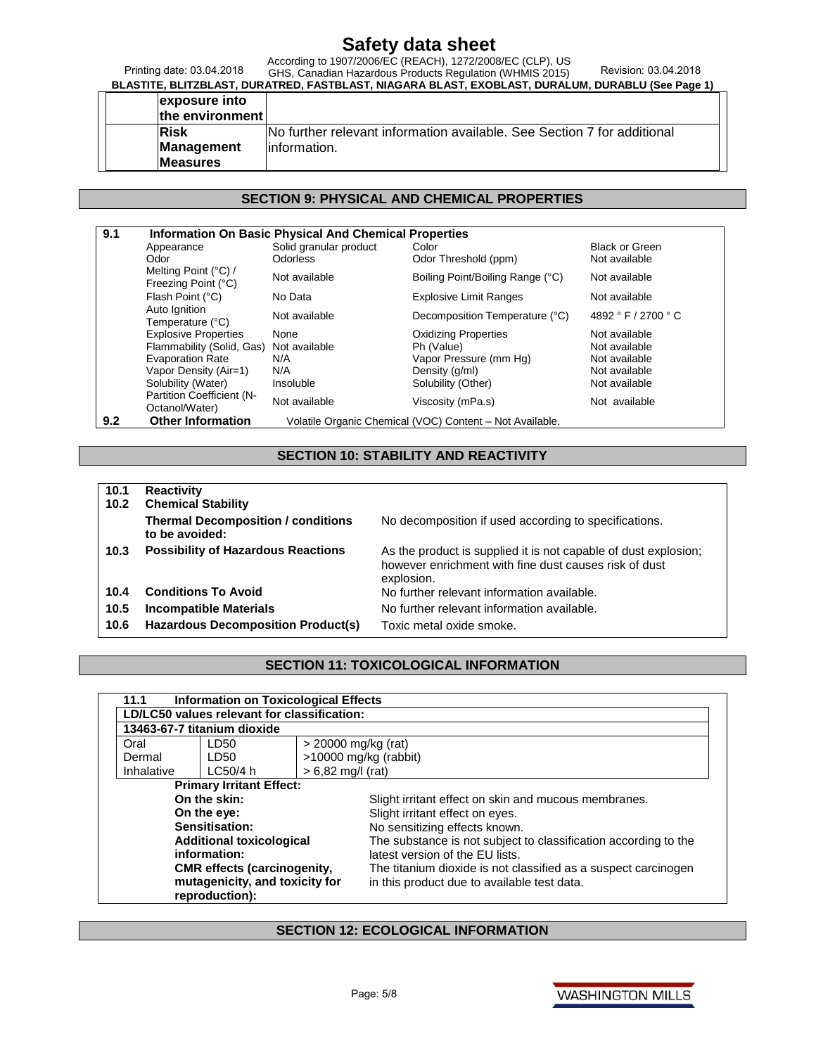Printing date: 03.04.2018

#### According to 1907/2006/EC (REACH), 1272/2008/EC (CLP), US GHS, Canadian Hazardous Products Regulation (WHMIS 2015) Revision: 03.04.2018

**BLASTITE, BLITZBLAST, DURATRED, FASTBLAST, NIAGARA BLAST, EXOBLAST, DURALUM, DURABLU (See Page 1)**

| exposure into<br>the environment |                                                                          |
|----------------------------------|--------------------------------------------------------------------------|
| <b>Risk</b>                      | INo further relevant information available. See Section 7 for additional |
| Management                       | linformation.                                                            |
| <b>Measures</b>                  |                                                                          |

#### **SECTION 9: PHYSICAL AND CHEMICAL PROPERTIES**

| 9.1 |                                             | <b>Information On Basic Physical And Chemical Properties</b> |                                                          |                       |
|-----|---------------------------------------------|--------------------------------------------------------------|----------------------------------------------------------|-----------------------|
|     | Appearance                                  | Solid granular product                                       | Color                                                    | <b>Black or Green</b> |
|     | Odor                                        | <b>Odorless</b>                                              | Odor Threshold (ppm)                                     | Not available         |
|     | Melting Point (°C) /<br>Freezing Point (°C) | Not available                                                | Boiling Point/Boiling Range (°C)                         | Not available         |
|     | Flash Point (°C)                            | No Data                                                      | <b>Explosive Limit Ranges</b>                            | Not available         |
|     | Auto Ignition<br>Temperature (°C)           | Not available                                                | Decomposition Temperature (°C)                           | 4892 ° F / 2700 ° C   |
|     | <b>Explosive Properties</b>                 | None                                                         | <b>Oxidizing Properties</b>                              | Not available         |
|     | Flammability (Solid, Gas)                   | Not available                                                | Ph (Value)                                               | Not available         |
|     | <b>Evaporation Rate</b>                     | N/A                                                          | Vapor Pressure (mm Hg)                                   | Not available         |
|     | Vapor Density (Air=1)                       | N/A                                                          | Density (q/ml)                                           | Not available         |
|     | Solubility (Water)                          | Insoluble                                                    | Solubility (Other)                                       | Not available         |
|     | Partition Coefficient (N-<br>Octanol/Water) | Not available                                                | Viscosity (mPa.s)                                        | Not available         |
| 9.2 | <b>Other Information</b>                    |                                                              | Volatile Organic Chemical (VOC) Content - Not Available. |                       |

#### **SECTION 10: STABILITY AND REACTIVITY**

**10.1 Reactivity 10.2 Chemical Stability Thermal Decomposition / conditions to be avoided:** No decomposition if used according to specifications. **10.3 Possibility of Hazardous Reactions** As the product is supplied it is not capable of dust explosion; however enrichment with fine dust causes risk of dust explosion. **10.4 Conditions To Avoid** No further relevant information available. **10.5 Incompatible Materials** No further relevant information available. **10.6 Hazardous Decomposition Product(s)** Toxic metal oxide smoke.

#### **SECTION 11: TOXICOLOGICAL INFORMATION**

| 11.1       | Information on Toxicological Effects        |                                                                 |  |
|------------|---------------------------------------------|-----------------------------------------------------------------|--|
|            | LD/LC50 values relevant for classification: |                                                                 |  |
|            | 13463-67-7 titanium dioxide                 |                                                                 |  |
| Oral       | LD50                                        | $>$ 20000 mg/kg (rat)                                           |  |
| Dermal     | LD50                                        | >10000 mg/kg (rabbit)                                           |  |
| Inhalative | LC50/4 h                                    | $> 6,82$ mg/l (rat)                                             |  |
|            | <b>Primary Irritant Effect:</b>             |                                                                 |  |
|            | On the skin:                                | Slight irritant effect on skin and mucous membranes.            |  |
|            | On the eye:                                 | Slight irritant effect on eyes.                                 |  |
|            | Sensitisation:                              | No sensitizing effects known.                                   |  |
|            | <b>Additional toxicological</b>             | The substance is not subject to classification according to the |  |
|            | information:                                | latest version of the EU lists.                                 |  |
|            | <b>CMR</b> effects (carcinogenity,          | The titanium dioxide is not classified as a suspect carcinogen  |  |
|            | mutagenicity, and toxicity for              | in this product due to available test data.                     |  |
|            | reproduction):                              |                                                                 |  |

#### **SECTION 12: ECOLOGICAL INFORMATION**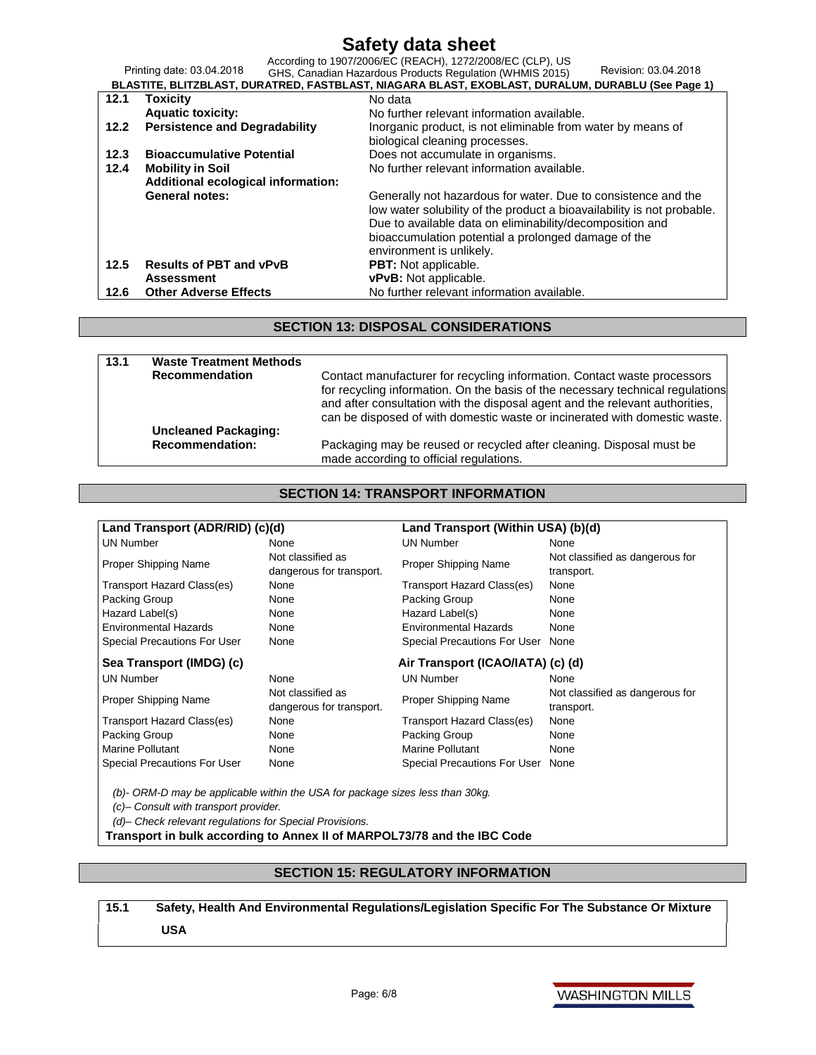Printing date: 03.04.2018 According to 1907/2006/EC (REACH), 1272/2008/EC (CLP), US GHS, Canadian Hazardous Products Regulation (WHMIS 2015) Revision: 03.04.2018

| BLASTITE, BLITZBLAST, DURATRED, FASTBLAST, NIAGARA BLAST, EXOBLAST, DURALUM, DURABLU (See Page 1) |                                      |                                                                                                                                         |  |  |  |
|---------------------------------------------------------------------------------------------------|--------------------------------------|-----------------------------------------------------------------------------------------------------------------------------------------|--|--|--|
| 12.1                                                                                              | <b>Toxicity</b>                      | No data                                                                                                                                 |  |  |  |
|                                                                                                   | <b>Aquatic toxicity:</b>             | No further relevant information available.                                                                                              |  |  |  |
| 12.2                                                                                              | <b>Persistence and Degradability</b> | Inorganic product, is not eliminable from water by means of                                                                             |  |  |  |
|                                                                                                   |                                      | biological cleaning processes.                                                                                                          |  |  |  |
| 12.3                                                                                              | <b>Bioaccumulative Potential</b>     | Does not accumulate in organisms.                                                                                                       |  |  |  |
| 12.4                                                                                              | <b>Mobility in Soil</b>              | No further relevant information available.                                                                                              |  |  |  |
|                                                                                                   | Additional ecological information:   |                                                                                                                                         |  |  |  |
|                                                                                                   | <b>General notes:</b>                | Generally not hazardous for water. Due to consistence and the<br>low water solubility of the product a bioavailability is not probable. |  |  |  |
|                                                                                                   |                                      | Due to available data on eliminability/decomposition and                                                                                |  |  |  |
|                                                                                                   |                                      | bioaccumulation potential a prolonged damage of the                                                                                     |  |  |  |
|                                                                                                   |                                      | environment is unlikely.                                                                                                                |  |  |  |
| 12.5                                                                                              | <b>Results of PBT and vPvB</b>       | <b>PBT:</b> Not applicable.                                                                                                             |  |  |  |
|                                                                                                   | <b>Assessment</b>                    | vPvB: Not applicable.                                                                                                                   |  |  |  |
| 12.6                                                                                              | <b>Other Adverse Effects</b>         | No further relevant information available.                                                                                              |  |  |  |

#### **SECTION 13: DISPOSAL CONSIDERATIONS**

| 13.1                  | <b>Waste Treatment Methods</b> |                                                                                                                                                                                                                                                                                                                          |
|-----------------------|--------------------------------|--------------------------------------------------------------------------------------------------------------------------------------------------------------------------------------------------------------------------------------------------------------------------------------------------------------------------|
| <b>Recommendation</b> |                                | Contact manufacturer for recycling information. Contact waste processors<br>for recycling information. On the basis of the necessary technical regulations<br>and after consultation with the disposal agent and the relevant authorities,<br>can be disposed of with domestic waste or incinerated with domestic waste. |
|                       | <b>Uncleaned Packaging:</b>    |                                                                                                                                                                                                                                                                                                                          |
|                       | <b>Recommendation:</b>         | Packaging may be reused or recycled after cleaning. Disposal must be<br>made according to official regulations.                                                                                                                                                                                                          |

#### **SECTION 14: TRANSPORT INFORMATION**

| Land Transport (ADR/RID) (c)(d)     |                                               | Land Transport (Within USA) (b)(d) |                                               |  |
|-------------------------------------|-----------------------------------------------|------------------------------------|-----------------------------------------------|--|
| <b>UN Number</b>                    | <b>None</b>                                   | <b>UN Number</b>                   | None                                          |  |
| <b>Proper Shipping Name</b>         | Not classified as<br>dangerous for transport. | Proper Shipping Name               | Not classified as dangerous for<br>transport. |  |
| Transport Hazard Class(es)          | None                                          | Transport Hazard Class(es)         | None                                          |  |
| Packing Group                       | None                                          | Packing Group                      | None                                          |  |
| Hazard Label(s)                     | None                                          | Hazard Label(s)                    | None                                          |  |
| <b>Environmental Hazards</b>        | None                                          | Environmental Hazards              | None                                          |  |
| <b>Special Precautions For User</b> | None                                          | Special Precautions For User       | None                                          |  |
| Sea Transport (IMDG) (c)            |                                               | Air Transport (ICAO/IATA) (c) (d)  |                                               |  |
| <b>UN Number</b>                    | None                                          | <b>UN Number</b>                   | None                                          |  |
| <b>Proper Shipping Name</b>         | Not classified as<br>dangerous for transport. | Proper Shipping Name               | Not classified as dangerous for<br>transport. |  |
| Transport Hazard Class(es)          | None                                          | Transport Hazard Class(es)         | None                                          |  |
| Packing Group                       | None                                          | Packing Group                      | None                                          |  |
| Marine Pollutant                    | None                                          | Marine Pollutant                   | None                                          |  |
| Special Precautions For User        | None                                          | Special Precautions For User None  |                                               |  |

*(b)- ORM-D may be applicable within the USA for package sizes less than 30kg.* 

*(c)– Consult with transport provider.*

*(d)– Check relevant regulations for Special Provisions.*

**Transport in bulk according to Annex II of MARPOL73/78 and the IBC Code**

#### **SECTION 15: REGULATORY INFORMATION**

### **15.1 Safety, Health And Environmental Regulations/Legislation Specific For The Substance Or Mixture USA**

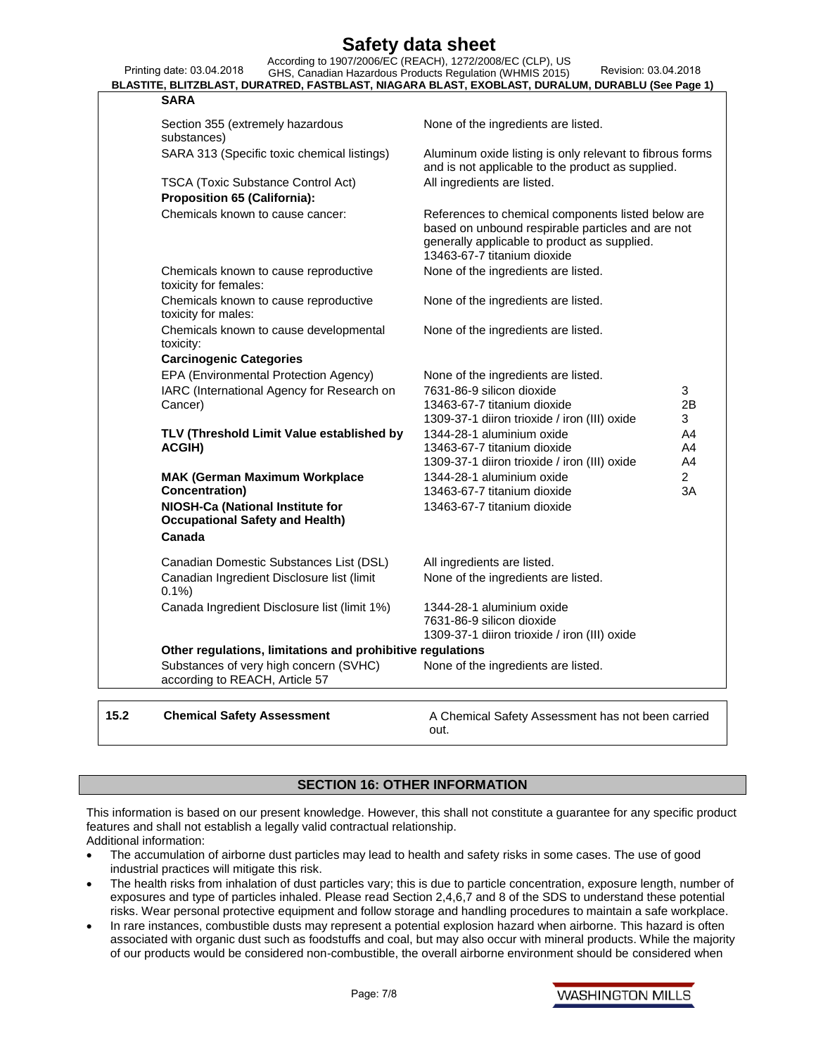Printing date: 03.04.2018 **Safety data sheet** According to 1907/2006/EC (REACH), 1272/2008/EC (CLP), US GHS, Canadian Hazardous Products Regulation (WHMIS 2015) Revision: 03.04.2018 **BLASTITE, BLITZBLAST, DURATRED, FASTBLAST, NIAGARA BLAST, EXOBLAST, DURALUM, DURABLU (See Page 1) SARA** Section 355 (extremely hazardous substances) None of the ingredients are listed. SARA 313 (Specific toxic chemical listings) Aluminum oxide listing is only relevant to fibrous forms and is not applicable to the product as supplied. TSCA (Toxic Substance Control Act) All ingredients are listed. **Proposition 65 (California):** Chemicals known to cause cancer: References to chemical components listed below are based on unbound respirable particles and are not generally applicable to product as supplied. 13463-67-7 titanium dioxide Chemicals known to cause reproductive toxicity for females: None of the ingredients are listed. Chemicals known to cause reproductive toxicity for males: None of the ingredients are listed. Chemicals known to cause developmental toxicity: None of the ingredients are listed. **Carcinogenic Categories** EPA (Environmental Protection Agency) None of the ingredients are listed. IARC (International Agency for Research on Cancer) 7631-86-9 silicon dioxide 13463-67-7 titanium dioxide 1309-37-1 diiron trioxide / iron (III) oxide 3 2B 3 **TLV (Threshold Limit Value established by ACGIH)** 1344-28-1 aluminium oxide 13463-67-7 titanium dioxide 1309-37-1 diiron trioxide / iron (III) oxide A4 A4 A4 **MAK (German Maximum Workplace Concentration)** 1344-28-1 aluminium oxide 13463-67-7 titanium dioxide  $\mathfrak{p}$ 3A **NIOSH-Ca (National Institute for Occupational Safety and Health)** 13463-67-7 titanium dioxide **Canada** Canadian Domestic Substances List (DSL) All ingredients are listed. Canadian Ingredient Disclosure list (limit 0.1%) None of the ingredients are listed. Canada Ingredient Disclosure list (limit 1%) 1344-28-1 aluminium oxide 7631-86-9 silicon dioxide 1309-37-1 diiron trioxide / iron (III) oxide **Other regulations, limitations and prohibitive regulations** Substances of very high concern (SVHC) according to REACH, Article 57 None of the ingredients are listed.

**15.2 Chemical Safety Assessment A Chemical Safety Assessment has not been carried** out.

#### **SECTION 16: OTHER INFORMATION**

This information is based on our present knowledge. However, this shall not constitute a guarantee for any specific product features and shall not establish a legally valid contractual relationship. Additional information:

- The accumulation of airborne dust particles may lead to health and safety risks in some cases. The use of good industrial practices will mitigate this risk.
- The health risks from inhalation of dust particles vary; this is due to particle concentration, exposure length, number of exposures and type of particles inhaled. Please read Section 2,4,6,7 and 8 of the SDS to understand these potential risks. Wear personal protective equipment and follow storage and handling procedures to maintain a safe workplace.
- In rare instances, combustible dusts may represent a potential explosion hazard when airborne. This hazard is often associated with organic dust such as foodstuffs and coal, but may also occur with mineral products. While the majority of our products would be considered non-combustible, the overall airborne environment should be considered when